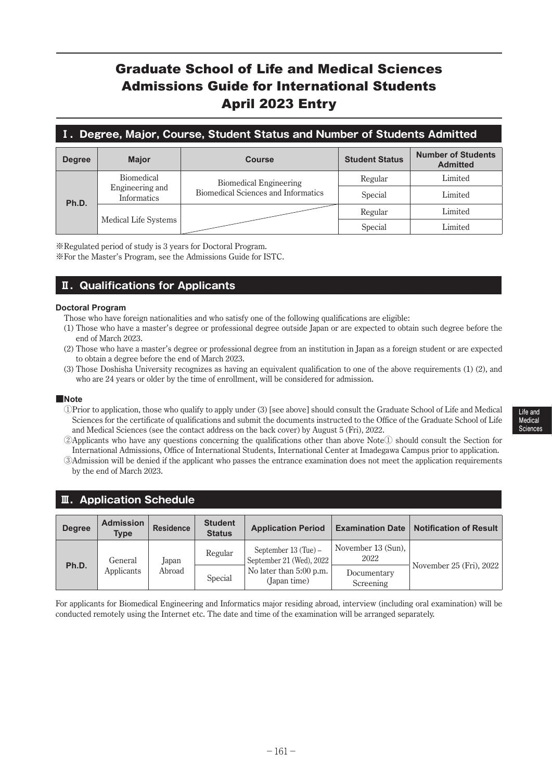## Graduate School of Life and Medical Sciences Admissions Guide for International Students April 2023 Entry

### **Ⅰ.Degree, Major, Course, Student Status and Number of Students Admitted**

| <b>Degree</b> | <b>Major</b>                   | <b>Student Status</b><br><b>Course</b> |         | <b>Number of Students</b><br><b>Admitted</b> |  |
|---------------|--------------------------------|----------------------------------------|---------|----------------------------------------------|--|
| Ph.D.         | <b>Biomedical</b>              | <b>Biomedical Engineering</b>          | Regular | Limited                                      |  |
|               | Engineering and<br>Informatics | Biomedical Sciences and Informatics    | Special | Limited                                      |  |
|               | Medical Life Systems           |                                        | Regular | Limited                                      |  |
|               |                                |                                        | Special | Limited                                      |  |

※Regulated period of study is 3 years for Doctoral Program.

※For the Master's Program, see the Admissions Guide for ISTC.

### **Ⅱ.Qualifications for Applicants**

### **Doctoral Program**

- Those who have foreign nationalities and who satisfy one of the following qualifications are eligible:
- (1) Those who have a master's degree or professional degree outside Japan or are expected to obtain such degree before the end of March 2023.
- (2) Those who have a master's degree or professional degree from an institution in Japan as a foreign student or are expected to obtain a degree before the end of March 2023.
- (3) Those Doshisha University recognizes as having an equivalent qualification to one of the above requirements (1) (2), and who are 24 years or older by the time of enrollment, will be considered for admission.

### **■Note**

- ① Prior to application, those who qualify to apply under (3) [see above] should consult the Graduate School of Life and Medical Sciences for the certificate of qualifications and submit the documents instructed to the Office of the Graduate School of Life and Medical Sciences (see the contact address on the back cover) by August 5 (Fri), 2022.
- ② Applicants who have any questions concerning the qualifications other than above Note① should consult the Section for International Admissions, Office of International Students, International Center at Imadegawa Campus prior to application.
- ③ Admission will be denied if the applicant who passes the entrance examination does not meet the application requirements by the end of March 2023.

| <b>II.</b> Application Schedule |                                 |                  |                                         |                                                  |                            |                        |  |  |  |
|---------------------------------|---------------------------------|------------------|-----------------------------------------|--------------------------------------------------|----------------------------|------------------------|--|--|--|
| <b>Degree</b>                   | <b>Admission</b><br><b>Type</b> | <b>Residence</b> | <b>Student</b><br><b>Status</b>         | <b>Application Period</b>                        | <b>Examination Date</b>    | Notification of Result |  |  |  |
| Ph.D.                           | General                         | Japan            | Regular                                 | September 13 (Tue) –<br>September 21 (Wed), 2022 | November 13 (Sun).<br>2022 |                        |  |  |  |
|                                 | Applicants<br>Abroad            | Special          | No later than 5:00 p.m.<br>(Japan time) | Documentary<br>Screening                         | November 25 (Fri), 2022    |                        |  |  |  |

For applicants for Biomedical Engineering and Informatics major residing abroad, interview (including oral examination) will be conducted remotely using the Internet etc. The date and time of the examination will be arranged separately.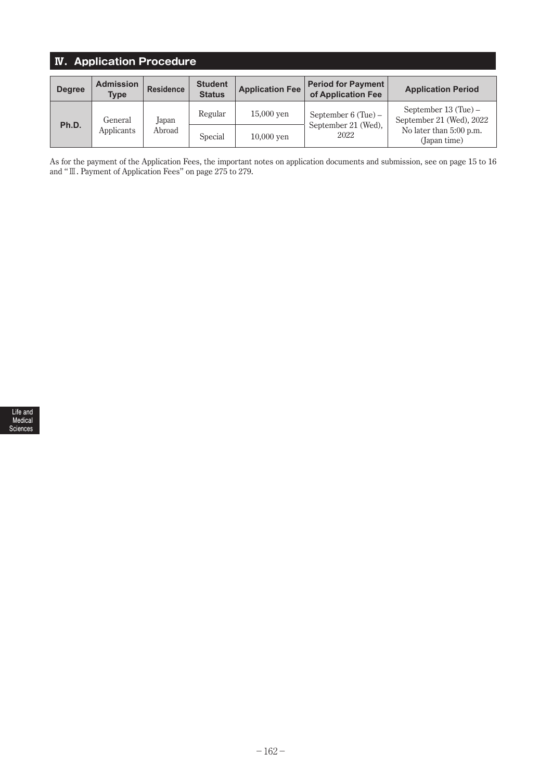## **Ⅳ.Application Procedure**

| <b>Degree</b> | <b>Admission</b><br><b>Type</b> | <b>Residence</b> | <b>Student</b><br><b>Status</b> | <b>Application Fee</b>      | <b>Period for Payment</b><br>of Application Fee | <b>Application Period</b>                        |  |
|---------------|---------------------------------|------------------|---------------------------------|-----------------------------|-------------------------------------------------|--------------------------------------------------|--|
| Ph.D.         | General                         | Japan            | Regular                         | $15,000$ ven                | September $6$ (Tue) –                           | September 13 (Tue) –<br>September 21 (Wed), 2022 |  |
|               | Applicants<br>Abroad<br>Special |                  | 10,000 yen                      | September 21 (Wed),<br>2022 | No later than 5:00 p.m.<br>(Japan time)         |                                                  |  |

As for the payment of the Application Fees, the important notes on application documents and submission, see on page 15 to 16 and "Ⅲ. Payment of Application Fees" on page 275 to 279.

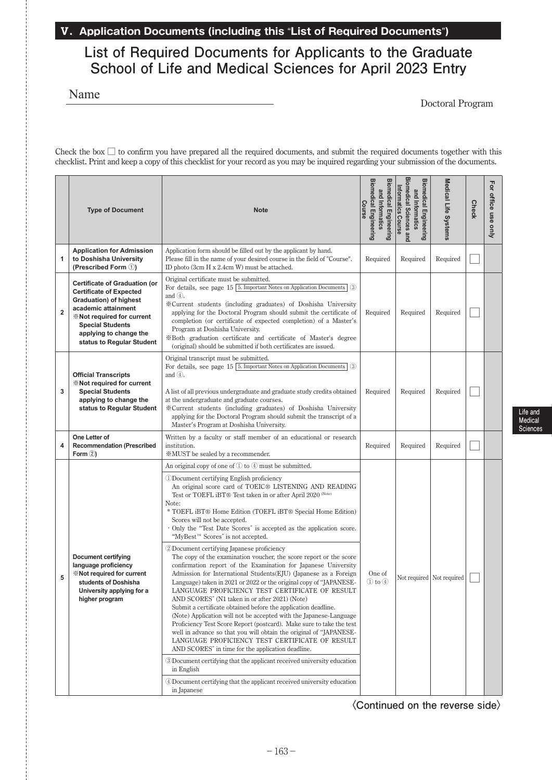## **Ⅴ.Application Documents (including this** "**List of Required Documents**"**)**

## **List of Required Documents for Applicants to the Graduate School of Life and Medical Sciences for April 2023 Entry**

Name

Doctoral Program

**Life and Medical Sciences**

Check the box  $\Box$  to confirm you have prepared all the required documents, and submit the required documents together with this checklist. Print and keep a copy of this checklist for your record as you may be inquired regarding your submission of the documents.

|                | <b>Type of Document</b><br><b>Note</b>                                                                                                                                                                                                         |                                                                                                                                                                                                                                                                                                                                                                                                                                                                                                                                                                                                                                                                                                                                                                                                                                                                                                                                                                                                                                                                                                                                                                                                                                                                                                                                                                                                                                                                         | <b>Biomedical Engineering</b><br><b>Biomedical Engineering</b><br>and Informatics<br>Course | Biomedical Sciences and<br><b>Biomedical Engineering</b><br>Informatics Course<br>and Informatics | Medical Life Systems | <b>Check</b> | For office use only |
|----------------|------------------------------------------------------------------------------------------------------------------------------------------------------------------------------------------------------------------------------------------------|-------------------------------------------------------------------------------------------------------------------------------------------------------------------------------------------------------------------------------------------------------------------------------------------------------------------------------------------------------------------------------------------------------------------------------------------------------------------------------------------------------------------------------------------------------------------------------------------------------------------------------------------------------------------------------------------------------------------------------------------------------------------------------------------------------------------------------------------------------------------------------------------------------------------------------------------------------------------------------------------------------------------------------------------------------------------------------------------------------------------------------------------------------------------------------------------------------------------------------------------------------------------------------------------------------------------------------------------------------------------------------------------------------------------------------------------------------------------------|---------------------------------------------------------------------------------------------|---------------------------------------------------------------------------------------------------|----------------------|--------------|---------------------|
| 1              | <b>Application for Admission</b><br>to Doshisha University<br>(Prescribed Form 1)                                                                                                                                                              | Application form should be filled out by the applicant by hand.<br>Please fill in the name of your desired course in the field of "Course".<br>ID photo (3cm H x 2.4cm W) must be attached.                                                                                                                                                                                                                                                                                                                                                                                                                                                                                                                                                                                                                                                                                                                                                                                                                                                                                                                                                                                                                                                                                                                                                                                                                                                                             | Required                                                                                    | Required                                                                                          | Required             |              |                     |
| $\overline{2}$ | <b>Certificate of Graduation (or</b><br><b>Certificate of Expected</b><br><b>Graduation</b> ) of highest<br>academic attainment<br>*Not required for current<br><b>Special Students</b><br>applying to change the<br>status to Regular Student | Original certificate must be submitted.<br>For details, see page $15\left[5. \text{Important Notes on Application Documents}\right]$ 3<br>and $(4)$ .<br>* Current students (including graduates) of Doshisha University<br>applying for the Doctoral Program should submit the certificate of<br>completion (or certificate of expected completion) of a Master's<br>Program at Doshisha University.<br>*Both graduation certificate and certificate of Master's degree<br>(original) should be submitted if both certificates are issued.                                                                                                                                                                                                                                                                                                                                                                                                                                                                                                                                                                                                                                                                                                                                                                                                                                                                                                                             | Required                                                                                    | Required                                                                                          | Required             |              |                     |
| 3              | <b>Official Transcripts</b><br>*Not required for current<br><b>Special Students</b><br>applying to change the<br>status to Regular Student                                                                                                     | Original transcript must be submitted.<br>For details, see page 15 5. Important Notes on Application Documents 3<br>and $(4)$ .<br>A list of all previous undergraduate and graduate study credits obtained<br>at the undergraduate and graduate courses.<br>*Current students (including graduates) of Doshisha University<br>applying for the Doctoral Program should submit the transcript of a<br>Master's Program at Doshisha University.                                                                                                                                                                                                                                                                                                                                                                                                                                                                                                                                                                                                                                                                                                                                                                                                                                                                                                                                                                                                                          |                                                                                             | Required                                                                                          | Required             |              |                     |
| 4              | One Letter of<br><b>Recommendation (Prescribed</b><br>Form $(2)$                                                                                                                                                                               | Written by a faculty or staff member of an educational or research<br>institution.<br><b>EXALUST</b> be sealed by a recommender.                                                                                                                                                                                                                                                                                                                                                                                                                                                                                                                                                                                                                                                                                                                                                                                                                                                                                                                                                                                                                                                                                                                                                                                                                                                                                                                                        | Required                                                                                    | Required                                                                                          | Required             |              |                     |
| 5              | <b>Document certifying</b><br>language proficiency<br><b>X</b> Not required for current<br>students of Doshisha<br>University applying for a<br>higher program                                                                                 | An original copy of one of $(1)$ to $(4)$ must be submitted.<br>1)Document certifying English proficiency<br>An original score card of TOEIC® LISTENING AND READING<br>Test or TOEFL iBT® Test taken in or after April 2020 (Note)<br>Note:<br>* TOEFL iBT® Home Edition (TOEFL iBT® Special Home Edition)<br>Scores will not be accepted.<br>· Only the "Test Date Scores" is accepted as the application score.<br>"MyBest™ Scores" is not accepted.<br>2Document certifying Japanese proficiency<br>The copy of the examination voucher, the score report or the score<br>confirmation report of the Examination for Japanese University<br>Admission for International Students(EJU) (Japanese as a Foreign<br>Language) taken in 2021 or 2022 or the original copy of "JAPANESE-<br>LANGUAGE PROFICIENCY TEST CERTIFICATE OF RESULT<br>AND SCORES" (N1 taken in or after 2021) (Note)<br>Submit a certificate obtained before the application deadline.<br>(Note) Application will not be accepted with the Japanese-Language<br>Proficiency Test Score Report (postcard). Make sure to take the test<br>well in advance so that you will obtain the original of "JAPANESE-<br>LANGUAGE PROFICIENCY TEST CERTIFICATE OF RESULT<br>AND SCORES" in time for the application deadline.<br>3Document certifying that the applicant received university education<br>in English<br>4Document certifying that the applicant received university education<br>in Japanese | One of<br>$(1)$ to $(4)$                                                                    | Not required   Not required                                                                       |                      |              |                     |

**〈Continued on the reverse side〉**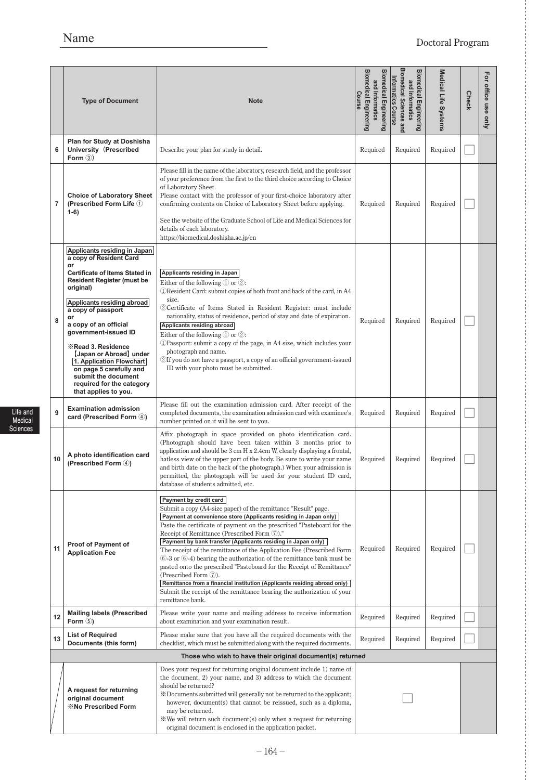# Name Doctoral Program

|    | <b>Type of Document</b>                                                                                                                                                                                                                                                                                                                                                                                                                                                       | <b>Note</b>                                                                                                                                                                                                                                                                                                                                                                                                                                                                                                                                                                                                                                                                                                                                                                                  | <b>Biomedical Engineering</b><br><b>Biomedical Engineering</b><br>and Informatics<br>Course | <b>Biomedical Sciences and</b><br><b>Biomedical Engineering</b><br>Informatics Course<br>and Informatics | Medical Life Systems | <b>Check</b> | For office use only |
|----|-------------------------------------------------------------------------------------------------------------------------------------------------------------------------------------------------------------------------------------------------------------------------------------------------------------------------------------------------------------------------------------------------------------------------------------------------------------------------------|----------------------------------------------------------------------------------------------------------------------------------------------------------------------------------------------------------------------------------------------------------------------------------------------------------------------------------------------------------------------------------------------------------------------------------------------------------------------------------------------------------------------------------------------------------------------------------------------------------------------------------------------------------------------------------------------------------------------------------------------------------------------------------------------|---------------------------------------------------------------------------------------------|----------------------------------------------------------------------------------------------------------|----------------------|--------------|---------------------|
| 6  | Plan for Study at Doshisha<br>University (Prescribed<br>Form $(3)$                                                                                                                                                                                                                                                                                                                                                                                                            | Describe your plan for study in detail.                                                                                                                                                                                                                                                                                                                                                                                                                                                                                                                                                                                                                                                                                                                                                      | Required                                                                                    | Required                                                                                                 | Required             |              |                     |
| 7  | <b>Choice of Laboratory Sheet</b><br>(Prescribed Form Life 1)<br>$1-6)$                                                                                                                                                                                                                                                                                                                                                                                                       | Please fill in the name of the laboratory, research field, and the professor<br>of your preference from the first to the third choice according to Choice<br>of Laboratory Sheet.<br>Please contact with the professor of your first-choice laboratory after<br>confirming contents on Choice of Laboratory Sheet before applying.<br>See the website of the Graduate School of Life and Medical Sciences for<br>details of each laboratory.<br>https://biomedical.doshisha.ac.jp/en                                                                                                                                                                                                                                                                                                         | Required                                                                                    | Required                                                                                                 | Required             |              |                     |
| 8  | Applicants residing in Japan<br>a copy of Resident Card<br>or<br><b>Certificate of Items Stated in</b><br><b>Resident Register (must be</b><br>original)<br>Applicants residing abroad<br>a copy of passport<br>or<br>a copy of an official<br>government-issued ID<br><b><i><b>X</b></i> Read 3. Residence</b><br>[Japan or Abroad] under<br>1. Application Flowchart<br>on page 5 carefully and<br>submit the document<br>required for the category<br>that applies to you. | Applicants residing in Japan<br>Either of the following $\mathbb D$ or $\mathbb Q$ :<br>DResident Card: submit copies of both front and back of the card, in A4<br>size.<br>2) Certificate of Items Stated in Resident Register: must include<br>nationality, status of residence, period of stay and date of expiration.<br>Applicants residing abroad<br>Either of the following $(1)$ or $(2)$ :<br>1) Passport: submit a copy of the page, in A4 size, which includes your<br>photograph and name.<br>2H you do not have a passport, a copy of an official government-issued<br>ID with your photo must be submitted.                                                                                                                                                                    | Required                                                                                    | Required                                                                                                 | Required             |              |                     |
| 9  | <b>Examination admission</b><br>card (Prescribed Form 4)                                                                                                                                                                                                                                                                                                                                                                                                                      | Please fill out the examination admission card. After receipt of the<br>completed documents, the examination admission card with examinee's<br>number printed on it will be sent to you.                                                                                                                                                                                                                                                                                                                                                                                                                                                                                                                                                                                                     | Required                                                                                    | Required                                                                                                 | Required             |              |                     |
| 10 | A photo identification card<br>(Prescribed Form 4)                                                                                                                                                                                                                                                                                                                                                                                                                            | Affix photograph in space provided on photo identification card.<br>(Photograph should have been taken within 3 months prior to<br>application and should be 3 cm H x 2.4cm W, clearly displaying a frontal,<br>hatless view of the upper part of the body. Be sure to write your name<br>and birth date on the back of the photograph.) When your admission is<br>permitted, the photograph will be used for your student ID card,<br>database of students admitted, etc.                                                                                                                                                                                                                                                                                                                   | Required                                                                                    | Required                                                                                                 | Required             |              |                     |
| 11 | <b>Proof of Payment of</b><br><b>Application Fee</b>                                                                                                                                                                                                                                                                                                                                                                                                                          | Payment by credit card<br>Submit a copy (A4-size paper) of the remittance "Result" page.<br>Payment at convenience store (Applicants residing in Japan only)<br>Paste the certificate of payment on the prescribed "Pasteboard for the<br>Receipt of Remittance (Prescribed Form 7)."<br>Payment by bank transfer (Applicants residing in Japan only)<br>The receipt of the remittance of the Application Fee (Prescribed Form<br>$(6)$ -3 or $(6)$ -4) bearing the authorization of the remittance bank must be<br>pasted onto the prescribed "Pasteboard for the Receipt of Remittance"<br>(Prescribed Form 7).<br>Remittance from a financial institution (Applicants residing abroad only)<br>Submit the receipt of the remittance bearing the authorization of your<br>remittance bank. | Required                                                                                    | Required                                                                                                 | Required             |              |                     |
| 12 | <b>Mailing labels (Prescribed</b><br>Form $(5)$                                                                                                                                                                                                                                                                                                                                                                                                                               | Please write your name and mailing address to receive information<br>about examination and your examination result.                                                                                                                                                                                                                                                                                                                                                                                                                                                                                                                                                                                                                                                                          | Required                                                                                    | Required                                                                                                 | Required             |              |                     |
| 13 | <b>List of Required</b><br>Documents (this form)                                                                                                                                                                                                                                                                                                                                                                                                                              | Please make sure that you have all the required documents with the<br>checklist, which must be submitted along with the required documents.                                                                                                                                                                                                                                                                                                                                                                                                                                                                                                                                                                                                                                                  | Required                                                                                    | Required                                                                                                 | Required             |              |                     |
|    |                                                                                                                                                                                                                                                                                                                                                                                                                                                                               | Those who wish to have their original document(s) returned                                                                                                                                                                                                                                                                                                                                                                                                                                                                                                                                                                                                                                                                                                                                   |                                                                                             |                                                                                                          |                      |              |                     |
|    | A request for returning<br>original document<br><b><i><b>W</b></i> No Prescribed Form</b>                                                                                                                                                                                                                                                                                                                                                                                     | Does your request for returning original document include 1) name of<br>the document, 2) your name, and 3) address to which the document<br>should be returned?<br>*Documents submitted will generally not be returned to the applicant;<br>however, document(s) that cannot be reissued, such as a diploma,<br>may be returned.<br>We will return such document(s) only when a request for returning<br>original document is enclosed in the application packet.                                                                                                                                                                                                                                                                                                                            |                                                                                             |                                                                                                          |                      |              |                     |

**Life and Medical Sciences**